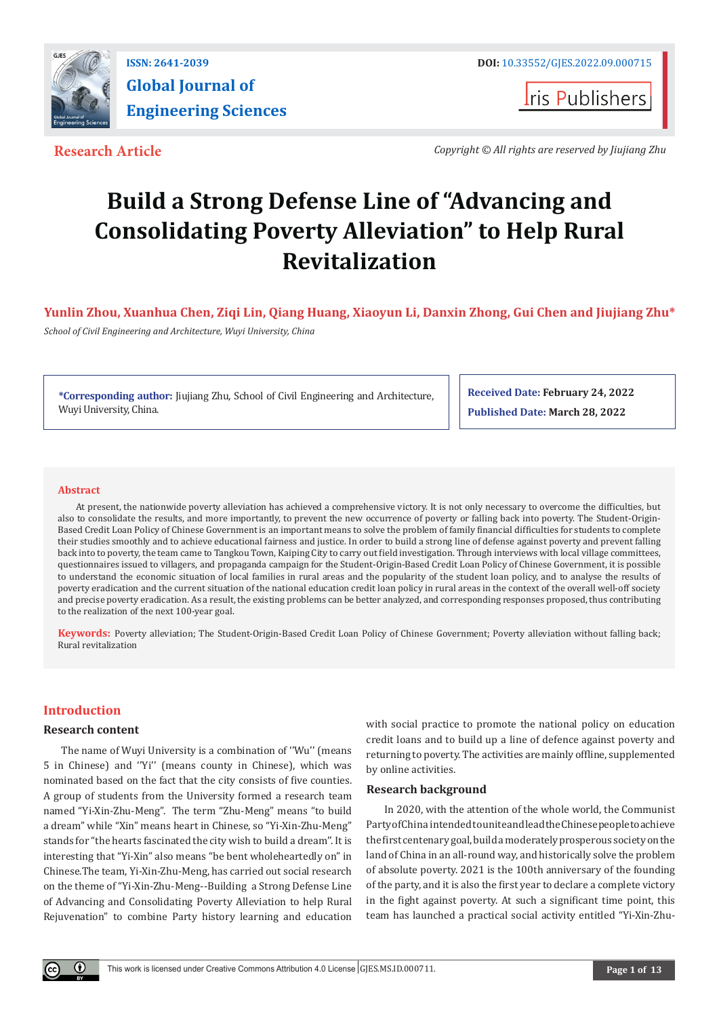

**I**ris Publishers

**Research Article** *Copyright © All rights are reserved by Jiujiang Zhu*

# **Build a Strong Defense Line of "Advancing and Consolidating Poverty Alleviation" to Help Rural Revitalization**

**Yunlin Zhou, Xuanhua Chen, Ziqi Lin, Qiang Huang, Xiaoyun Li, Danxin Zhong, Gui Chen and Jiujiang Zhu\*** 

*School of Civil Engineering and Architecture, Wuyi University, China*

**\*Corresponding author:** Jiujiang Zhu, School of Civil Engineering and Architecture, Wuyi University, China.

**Received Date: February 24, 2022 Published Date: March 28, 2022**

#### **Abstract**

At present, the nationwide poverty alleviation has achieved a comprehensive victory. It is not only necessary to overcome the difficulties, but also to consolidate the results, and more importantly, to prevent the new occurrence of poverty or falling back into poverty. The Student-Origin-Based Credit Loan Policy of Chinese Government is an important means to solve the problem of family financial difficulties for students to complete their studies smoothly and to achieve educational fairness and justice. In order to build a strong line of defense against poverty and prevent falling back into to poverty, the team came to Tangkou Town, Kaiping City to carry out field investigation. Through interviews with local village committees, questionnaires issued to villagers, and propaganda campaign for the Student-Origin-Based Credit Loan Policy of Chinese Government, it is possible to understand the economic situation of local families in rural areas and the popularity of the student loan policy, and to analyse the results of poverty eradication and the current situation of the national education credit loan policy in rural areas in the context of the overall well-off society and precise poverty eradication. As a result, the existing problems can be better analyzed, and corresponding responses proposed, thus contributing to the realization of the next 100-year goal.

**Keywords:** Poverty alleviation; The Student-Origin-Based Credit Loan Policy of Chinese Government; Poverty alleviation without falling back; Rural revitalization

# **Introduction**

#### **Research content**

The name of Wuyi University is a combination of ''Wu'' (means 5 in Chinese) and ''Yi'' (means county in Chinese), which was nominated based on the fact that the city consists of five counties. A group of students from the University formed a research team named "Yi-Xin-Zhu-Meng". The term "Zhu-Meng" means "to build a dream" while "Xin" means heart in Chinese, so "Yi-Xin-Zhu-Meng" stands for "the hearts fascinated the city wish to build a dream''. It is interesting that "Yi-Xin" also means "be bent wholeheartedly on" in Chinese.The team, Yi-Xin-Zhu-Meng, has carried out social research on the theme of "Yi-Xin-Zhu-Meng--Building a Strong Defense Line of Advancing and Consolidating Poverty Alleviation to help Rural Rejuvenation" to combine Party history learning and education

with social practice to promote the national policy on education credit loans and to build up a line of defence against poverty and returning to poverty. The activities are mainly offline, supplemented by online activities.

#### **Research background**

In 2020, with the attention of the whole world, the Communist Party of China intended to unite and lead the Chinese people to achieve the first centenary goal, build a moderately prosperous society on the land of China in an all-round way, and historically solve the problem of absolute poverty. 2021 is the 100th anniversary of the founding of the party, and it is also the first year to declare a complete victory in the fight against poverty. At such a significant time point, this team has launched a practical social activity entitled "Yi-Xin-Zhu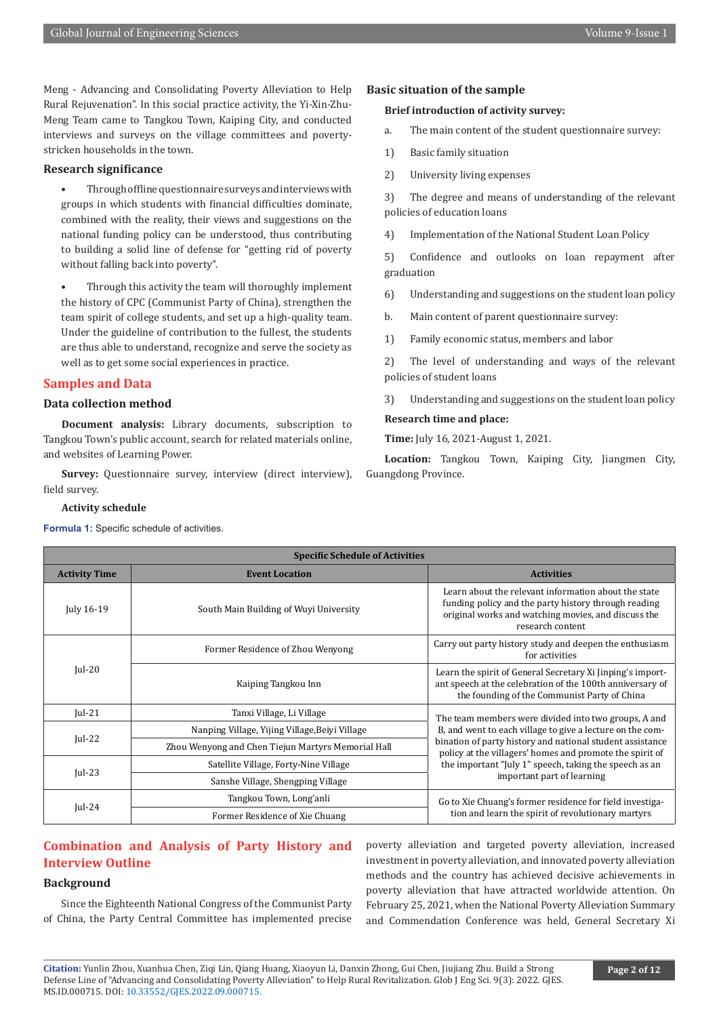Meng - Advancing and Consolidating Poverty Alleviation to Help Rural Rejuvenation". In this social practice activity, the Yi-Xin-Zhu-Meng Team came to Tangkou Town, Kaiping City, and conducted interviews and surveys on the village committees and povertystricken households in the town.

#### **Research significance**

- Through offline questionnaire surveys and interviews with groups in which students with financial difficulties dominate, combined with the reality, their views and suggestions on the national funding policy can be understood, thus contributing to building a solid line of defense for "getting rid of poverty without falling back into poverty".
- Through this activity the team will thoroughly implement the history of CPC (Communist Party of China), strengthen the team spirit of college students, and set up a high-quality team. Under the guideline of contribution to the fullest, the students are thus able to understand, recognize and serve the society as well as to get some social experiences in practice.

#### **Samples and Data**

### **Data collection method**

**Document analysis:** Library documents, subscription to Tangkou Town's public account, search for related materials online, and websites of Learning Power.

**Survey:** Questionnaire survey, interview (direct interview), field survey.

#### **Activity schedule**

**Formula 1:** Specific schedule of activities.

#### **Basic situation of the sample**

#### **Brief introduction of activity survey:**

- a. The main content of the student questionnaire survey:
- 1) Basic family situation
- 2) University living expenses

3) The degree and means of understanding of the relevant policies of education loans

4) Implementation of the National Student Loan Policy

5) Confidence and outlooks on loan repayment after graduation

- 6) Understanding and suggestions on the student loan policy
- b. Main content of parent questionnaire survey:
- 1) Family economic status, members and labor

2) The level of understanding and ways of the relevant policies of student loans

3) Understanding and suggestions on the student loan policy

#### **Research time and place:**

**Time:** July 16, 2021-August 1, 2021.

**Location:** Tangkou Town, Kaiping City, Jiangmen City, Guangdong Province.

| <b>Specific Schedule of Activities</b> |                                                    |                                                                                                                                                                                                                                                                                                                                    |
|----------------------------------------|----------------------------------------------------|------------------------------------------------------------------------------------------------------------------------------------------------------------------------------------------------------------------------------------------------------------------------------------------------------------------------------------|
| <b>Activity Time</b>                   | <b>Event Location</b>                              | <b>Activities</b>                                                                                                                                                                                                                                                                                                                  |
| July 16-19                             | South Main Building of Wuyi University             | Learn about the relevant information about the state<br>funding policy and the party history through reading<br>original works and watching movies, and discuss the<br>research content                                                                                                                                            |
| $ ul-20$                               | Former Residence of Zhou Wenyong                   | Carry out party history study and deepen the enthusiasm<br>for activities                                                                                                                                                                                                                                                          |
|                                        | Kaiping Tangkou Inn                                | Learn the spirit of General Secretary Xi Jinping's import-<br>ant speech at the celebration of the 100th anniversary of<br>the founding of the Communist Party of China                                                                                                                                                            |
| $ ul-21 $                              | Tanxi Village, Li Village                          | The team members were divided into two groups, A and<br>B, and went to each village to give a lecture on the com-<br>bination of party history and national student assistance<br>policy at the villagers' homes and promote the spirit of<br>the important "July 1" speech, taking the speech as an<br>important part of learning |
| $ ul-22$                               | Nanping Village, Yijing Village, Beiyi Village     |                                                                                                                                                                                                                                                                                                                                    |
|                                        | Zhou Wenyong and Chen Tiejun Martyrs Memorial Hall |                                                                                                                                                                                                                                                                                                                                    |
| $ ul-23$                               | Satellite Village, Forty-Nine Village              |                                                                                                                                                                                                                                                                                                                                    |
|                                        | Sanshe Village, Shengping Village                  |                                                                                                                                                                                                                                                                                                                                    |
| $ ul-24$                               | Tangkou Town, Long'anli                            | Go to Xie Chuang's former residence for field investiga-<br>tion and learn the spirit of revolutionary martyrs                                                                                                                                                                                                                     |
|                                        | Former Residence of Xie Chuang                     |                                                                                                                                                                                                                                                                                                                                    |

# **Combination and Analysis of Party History and Interview Outline**

#### **Background**

Since the Eighteenth National Congress of the Communist Party of China, the Party Central Committee has implemented precise

poverty alleviation and targeted poverty alleviation, increased investment in poverty alleviation, and innovated poverty alleviation methods and the country has achieved decisive achievements in poverty alleviation that have attracted worldwide attention. On February 25, 2021, when the National Poverty Alleviation Summary and Commendation Conference was held, General Secretary Xi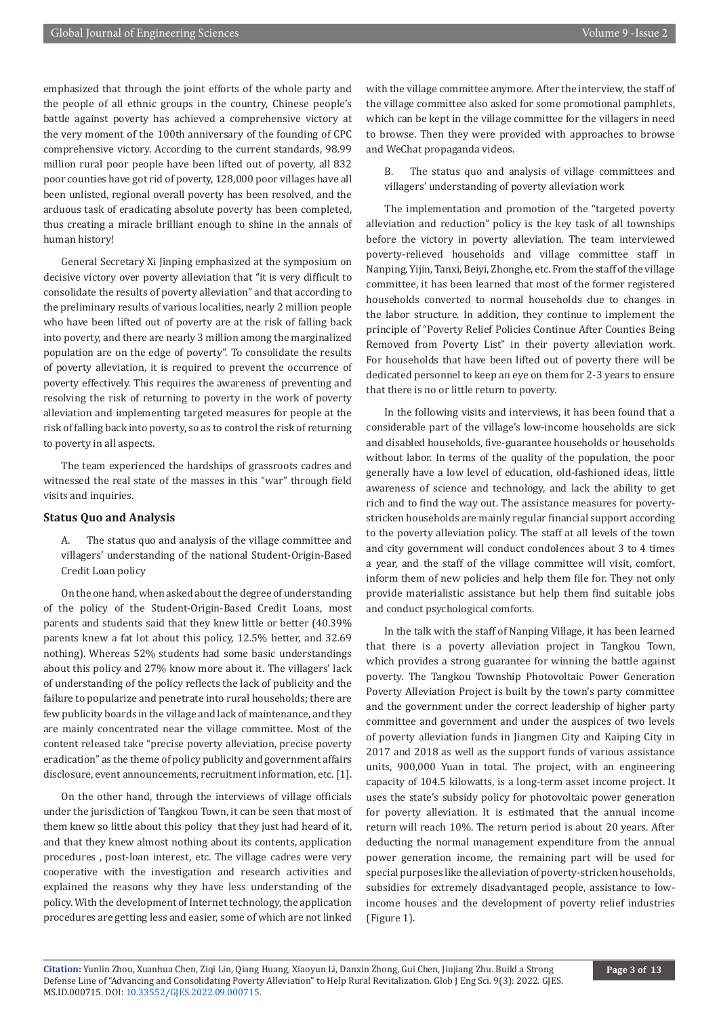emphasized that through the joint efforts of the whole party and the people of all ethnic groups in the country, Chinese people's battle against poverty has achieved a comprehensive victory at the very moment of the 100th anniversary of the founding of CPC comprehensive victory. According to the current standards, 98.99 million rural poor people have been lifted out of poverty, all 832 poor counties have got rid of poverty, 128,000 poor villages have all been unlisted, regional overall poverty has been resolved, and the arduous task of eradicating absolute poverty has been completed, thus creating a miracle brilliant enough to shine in the annals of human history!

General Secretary Xi Jinping emphasized at the symposium on decisive victory over poverty alleviation that "it is very difficult to consolidate the results of poverty alleviation" and that according to the preliminary results of various localities, nearly 2 million people who have been lifted out of poverty are at the risk of falling back into poverty, and there are nearly 3 million among the marginalized population are on the edge of poverty". To consolidate the results of poverty alleviation, it is required to prevent the occurrence of poverty effectively. This requires the awareness of preventing and resolving the risk of returning to poverty in the work of poverty alleviation and implementing targeted measures for people at the risk of falling back into poverty, so as to control the risk of returning to poverty in all aspects.

The team experienced the hardships of grassroots cadres and witnessed the real state of the masses in this "war" through field visits and inquiries.

#### **Status Quo and Analysis**

A. The status quo and analysis of the village committee and villagers' understanding of the national Student-Origin-Based Credit Loan policy

On the one hand, when asked about the degree of understanding of the policy of the Student-Origin-Based Credit Loans, most parents and students said that they knew little or better (40.39% parents knew a fat lot about this policy, 12.5% better, and 32.69 nothing). Whereas 52% students had some basic understandings about this policy and 27% know more about it. The villagers' lack of understanding of the policy reflects the lack of publicity and the failure to popularize and penetrate into rural households; there are few publicity boards in the village and lack of maintenance, and they are mainly concentrated near the village committee. Most of the content released take "precise poverty alleviation, precise poverty eradication" as the theme of policy publicity and government affairs disclosure, event announcements, recruitment information, etc. [1].

On the other hand, through the interviews of village officials under the jurisdiction of Tangkou Town, it can be seen that most of them knew so little about this policy that they just had heard of it, and that they knew almost nothing about its contents, application procedures , post-loan interest, etc. The village cadres were very cooperative with the investigation and research activities and explained the reasons why they have less understanding of the policy. With the development of Internet technology, the application procedures are getting less and easier, some of which are not linked

with the village committee anymore. After the interview, the staff of the village committee also asked for some promotional pamphlets, which can be kept in the village committee for the villagers in need to browse. Then they were provided with approaches to browse and WeChat propaganda videos.

B. The status quo and analysis of village committees and villagers' understanding of poverty alleviation work

The implementation and promotion of the "targeted poverty alleviation and reduction" policy is the key task of all townships before the victory in poverty alleviation. The team interviewed poverty-relieved households and village committee staff in Nanping, Yijin, Tanxi, Beiyi, Zhonghe, etc. From the staff of the village committee, it has been learned that most of the former registered households converted to normal households due to changes in the labor structure. In addition, they continue to implement the principle of "Poverty Relief Policies Continue After Counties Being Removed from Poverty List" in their poverty alleviation work. For households that have been lifted out of poverty there will be dedicated personnel to keep an eye on them for 2-3 years to ensure that there is no or little return to poverty.

In the following visits and interviews, it has been found that a considerable part of the village's low-income households are sick and disabled households, five-guarantee households or households without labor. In terms of the quality of the population, the poor generally have a low level of education, old-fashioned ideas, little awareness of science and technology, and lack the ability to get rich and to find the way out. The assistance measures for povertystricken households are mainly regular financial support according to the poverty alleviation policy. The staff at all levels of the town and city government will conduct condolences about 3 to 4 times a year, and the staff of the village committee will visit, comfort, inform them of new policies and help them file for. They not only provide materialistic assistance but help them find suitable jobs and conduct psychological comforts.

In the talk with the staff of Nanping Village, it has been learned that there is a poverty alleviation project in Tangkou Town, which provides a strong guarantee for winning the battle against poverty. The Tangkou Township Photovoltaic Power Generation Poverty Alleviation Project is built by the town's party committee and the government under the correct leadership of higher party committee and government and under the auspices of two levels of poverty alleviation funds in Jiangmen City and Kaiping City in 2017 and 2018 as well as the support funds of various assistance units, 900,000 Yuan in total. The project, with an engineering capacity of 104.5 kilowatts, is a long-term asset income project. It uses the state's subsidy policy for photovoltaic power generation for poverty alleviation. It is estimated that the annual income return will reach 10%. The return period is about 20 years. After deducting the normal management expenditure from the annual power generation income, the remaining part will be used for special purposes like the alleviation of poverty-stricken households, subsidies for extremely disadvantaged people, assistance to lowincome houses and the development of poverty relief industries (Figure 1).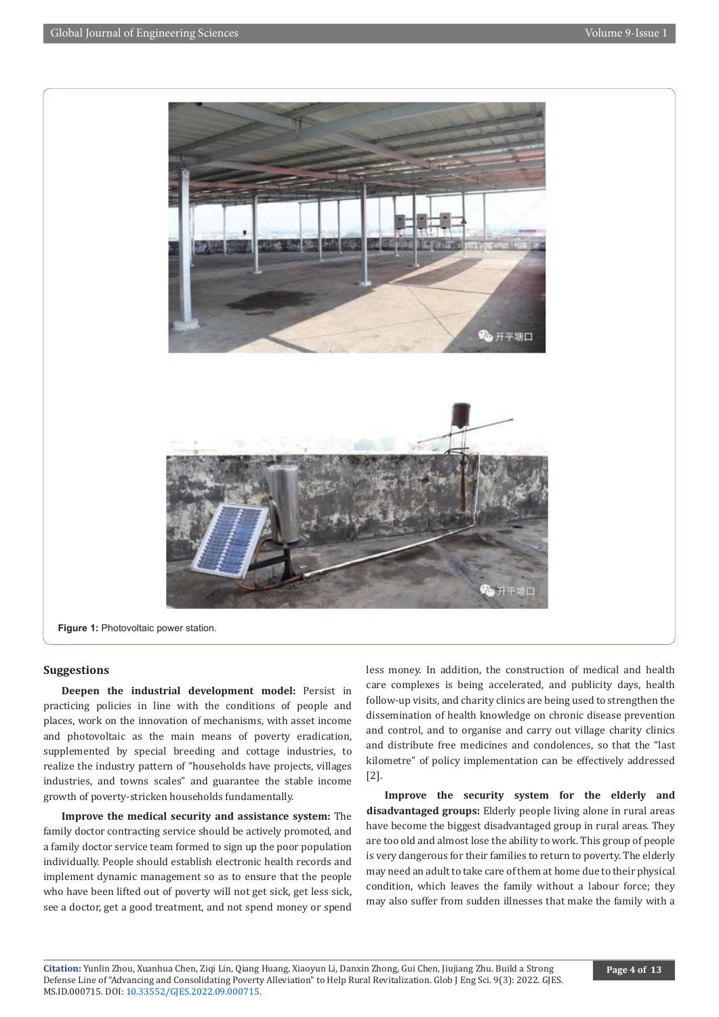

**Figure 1:** Photovoltaic power station.

#### **Suggestions**

**Deepen the industrial development model:** Persist in practicing policies in line with the conditions of people and places, work on the innovation of mechanisms, with asset income and photovoltaic as the main means of poverty eradication, supplemented by special breeding and cottage industries, to realize the industry pattern of "households have projects, villages industries, and towns scales" and guarantee the stable income growth of poverty-stricken households fundamentally.

**Improve the medical security and assistance system:** The family doctor contracting service should be actively promoted, and a family doctor service team formed to sign up the poor population individually. People should establish electronic health records and implement dynamic management so as to ensure that the people who have been lifted out of poverty will not get sick, get less sick, see a doctor, get a good treatment, and not spend money or spend

less money. In addition, the construction of medical and health care complexes is being accelerated, and publicity days, health follow-up visits, and charity clinics are being used to strengthen the dissemination of health knowledge on chronic disease prevention and control, and to organise and carry out village charity clinics and distribute free medicines and condolences, so that the "last kilometre" of policy implementation can be effectively addressed [2].

**Improve the security system for the elderly and disadvantaged groups:** Elderly people living alone in rural areas have become the biggest disadvantaged group in rural areas. They are too old and almost lose the ability to work. This group of people is very dangerous for their families to return to poverty. The elderly may need an adult to take care of them at home due to their physical condition, which leaves the family without a labour force; they may also suffer from sudden illnesses that make the family with a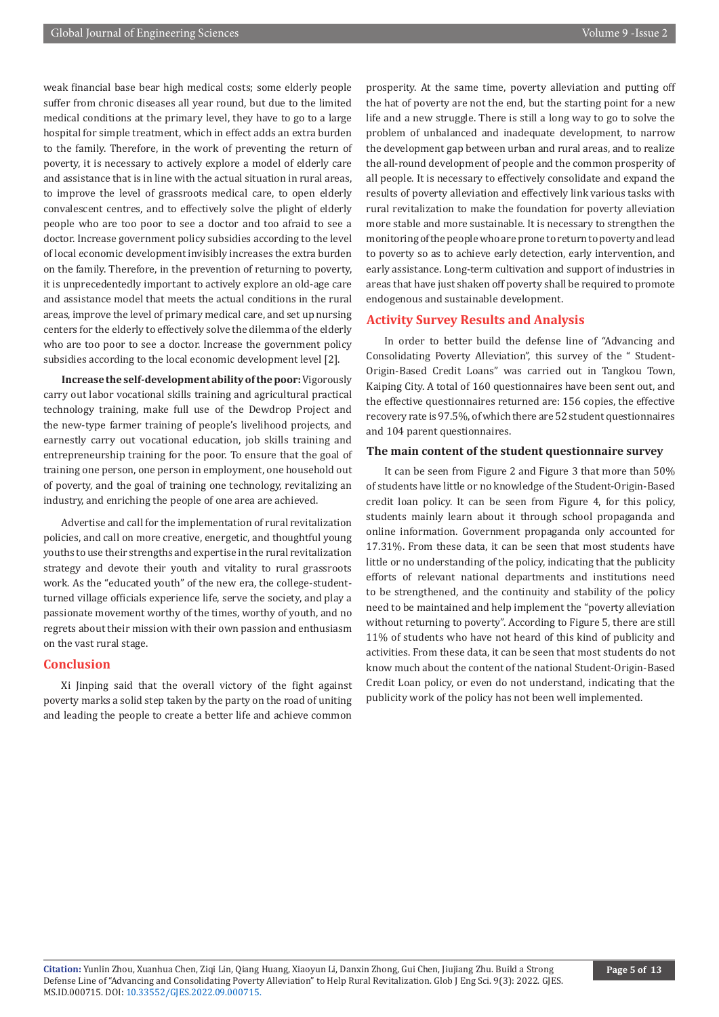weak financial base bear high medical costs; some elderly people suffer from chronic diseases all year round, but due to the limited medical conditions at the primary level, they have to go to a large hospital for simple treatment, which in effect adds an extra burden to the family. Therefore, in the work of preventing the return of poverty, it is necessary to actively explore a model of elderly care and assistance that is in line with the actual situation in rural areas, to improve the level of grassroots medical care, to open elderly convalescent centres, and to effectively solve the plight of elderly people who are too poor to see a doctor and too afraid to see a doctor. Increase government policy subsidies according to the level of local economic development invisibly increases the extra burden on the family. Therefore, in the prevention of returning to poverty, it is unprecedentedly important to actively explore an old-age care and assistance model that meets the actual conditions in the rural areas, improve the level of primary medical care, and set up nursing centers for the elderly to effectively solve the dilemma of the elderly who are too poor to see a doctor. Increase the government policy subsidies according to the local economic development level [2].

**Increase the self-development ability of the poor:** Vigorously carry out labor vocational skills training and agricultural practical technology training, make full use of the Dewdrop Project and the new-type farmer training of people's livelihood projects, and earnestly carry out vocational education, job skills training and entrepreneurship training for the poor. To ensure that the goal of training one person, one person in employment, one household out of poverty, and the goal of training one technology, revitalizing an industry, and enriching the people of one area are achieved.

Advertise and call for the implementation of rural revitalization policies, and call on more creative, energetic, and thoughtful young youths to use their strengths and expertise in the rural revitalization strategy and devote their youth and vitality to rural grassroots work. As the "educated youth" of the new era, the college-studentturned village officials experience life, serve the society, and play a passionate movement worthy of the times, worthy of youth, and no regrets about their mission with their own passion and enthusiasm on the vast rural stage.

#### **Conclusion**

Xi Jinping said that the overall victory of the fight against poverty marks a solid step taken by the party on the road of uniting and leading the people to create a better life and achieve common

prosperity. At the same time, poverty alleviation and putting off the hat of poverty are not the end, but the starting point for a new life and a new struggle. There is still a long way to go to solve the problem of unbalanced and inadequate development, to narrow the development gap between urban and rural areas, and to realize the all-round development of people and the common prosperity of all people. It is necessary to effectively consolidate and expand the results of poverty alleviation and effectively link various tasks with rural revitalization to make the foundation for poverty alleviation more stable and more sustainable. It is necessary to strengthen the monitoring of the people who are prone to return to poverty and lead to poverty so as to achieve early detection, early intervention, and early assistance. Long-term cultivation and support of industries in areas that have just shaken off poverty shall be required to promote endogenous and sustainable development.

#### **Activity Survey Results and Analysis**

In order to better build the defense line of "Advancing and Consolidating Poverty Alleviation", this survey of the " Student-Origin-Based Credit Loans" was carried out in Tangkou Town, Kaiping City. A total of 160 questionnaires have been sent out, and the effective questionnaires returned are: 156 copies, the effective recovery rate is 97.5%, of which there are 52 student questionnaires and 104 parent questionnaires.

#### **The main content of the student questionnaire survey**

It can be seen from Figure 2 and Figure 3 that more than 50% of students have little or no knowledge of the Student-Origin-Based credit loan policy. It can be seen from Figure 4, for this policy, students mainly learn about it through school propaganda and online information. Government propaganda only accounted for 17.31%. From these data, it can be seen that most students have little or no understanding of the policy, indicating that the publicity efforts of relevant national departments and institutions need to be strengthened, and the continuity and stability of the policy need to be maintained and help implement the "poverty alleviation without returning to poverty". According to Figure 5, there are still 11% of students who have not heard of this kind of publicity and activities. From these data, it can be seen that most students do not know much about the content of the national Student-Origin-Based Credit Loan policy, or even do not understand, indicating that the publicity work of the policy has not been well implemented.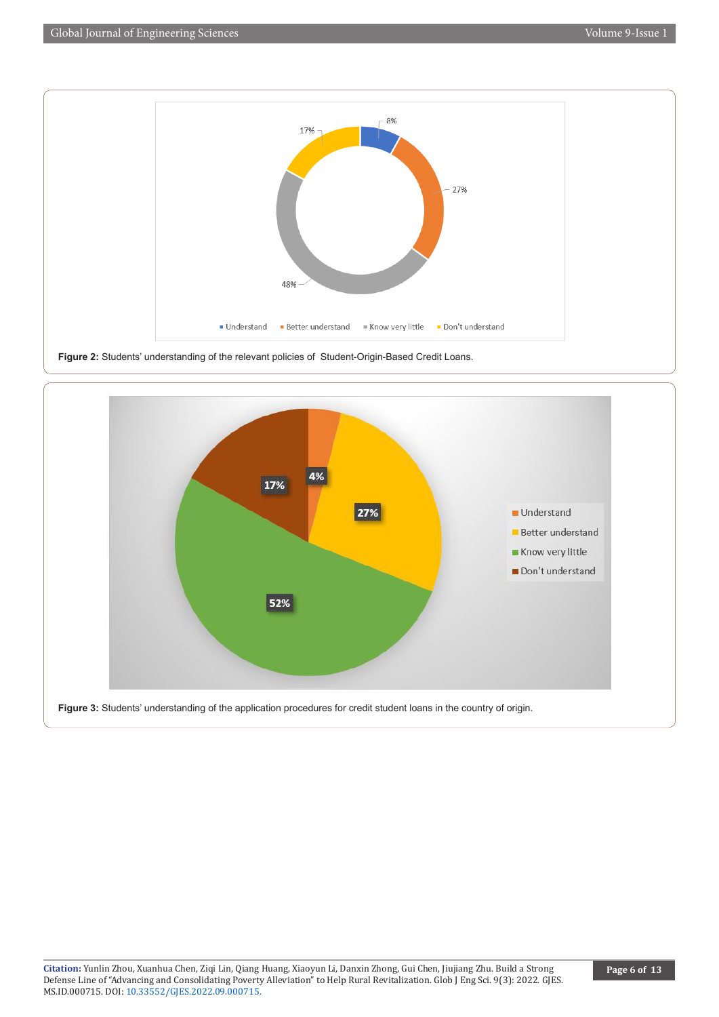

**Figure 2:** Students' understanding of the relevant policies of Student-Origin-Based Credit Loans.

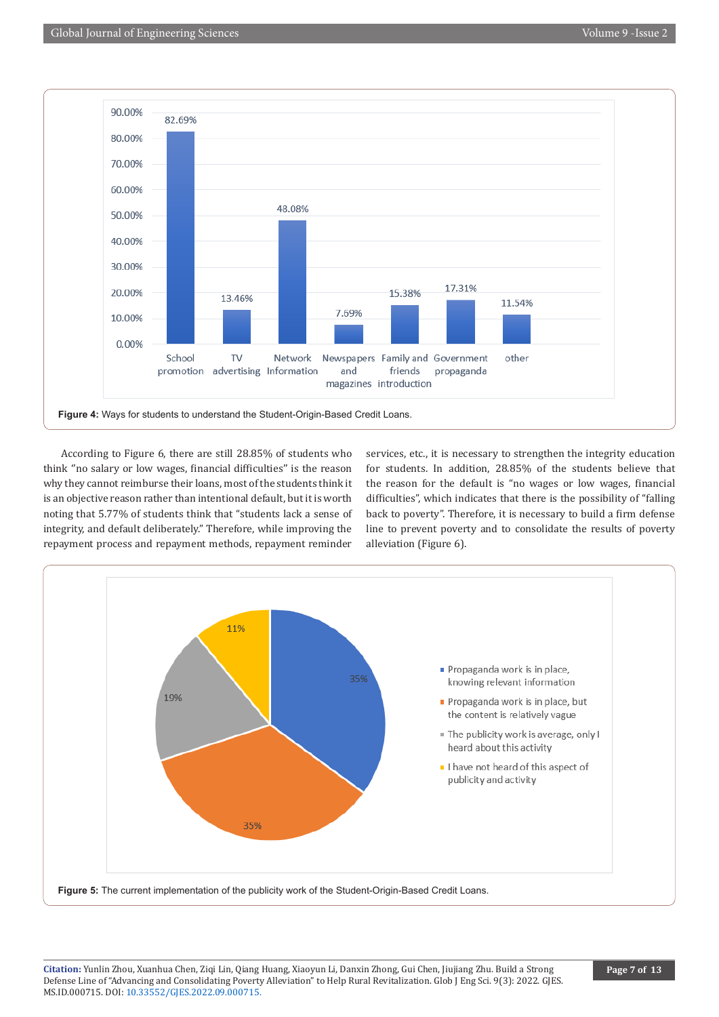

According to Figure 6, there are still 28.85% of students who think ''no salary or low wages, financial difficulties'' is the reason why they cannot reimburse their loans, most of the students think it is an objective reason rather than intentional default, but it is worth noting that 5.77% of students think that "students lack a sense of integrity, and default deliberately." Therefore, while improving the repayment process and repayment methods, repayment reminder

services, etc., it is necessary to strengthen the integrity education for students. In addition, 28.85% of the students believe that the reason for the default is "no wages or low wages, financial difficulties", which indicates that there is the possibility of "falling back to poverty". Therefore, it is necessary to build a firm defense line to prevent poverty and to consolidate the results of poverty alleviation (Figure 6).

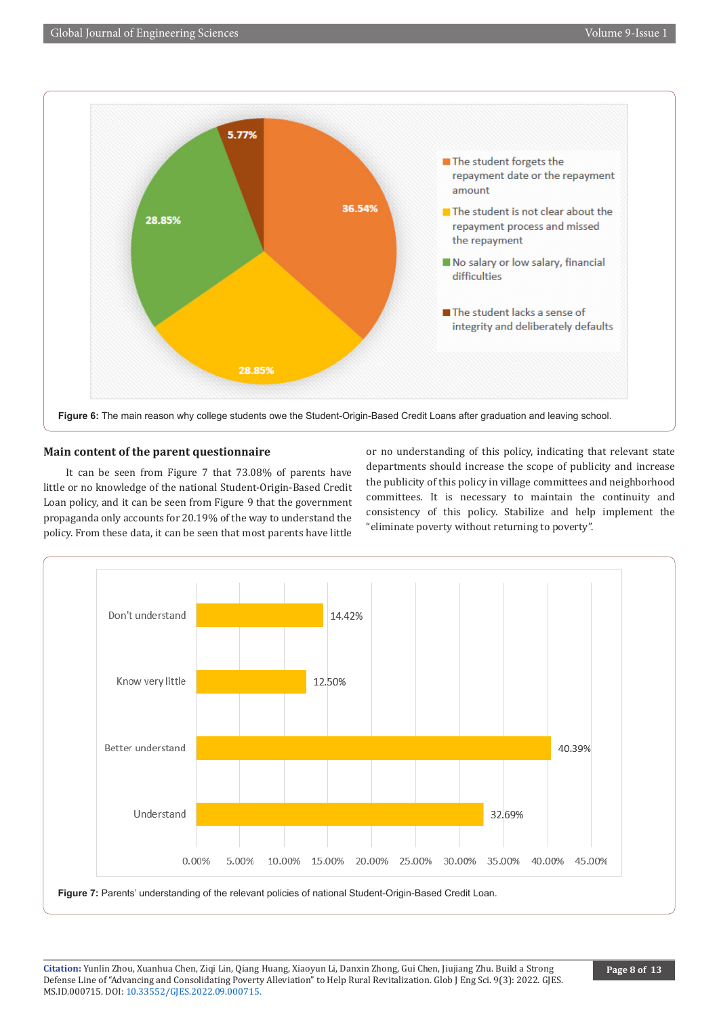

### **Main content of the parent questionnaire**

 It can be seen from Figure 7 that 73.08% of parents have little or no knowledge of the national Student-Origin-Based Credit Loan policy, and it can be seen from Figure 9 that the government propaganda only accounts for 20.19% of the way to understand the policy. From these data, it can be seen that most parents have little

or no understanding of this policy, indicating that relevant state departments should increase the scope of publicity and increase the publicity of this policy in village committees and neighborhood committees. It is necessary to maintain the continuity and consistency of this policy. Stabilize and help implement the "eliminate poverty without returning to poverty".



**Figure 7:** Parents' understanding of the relevant policies of national Student-Origin-Based Credit Loan.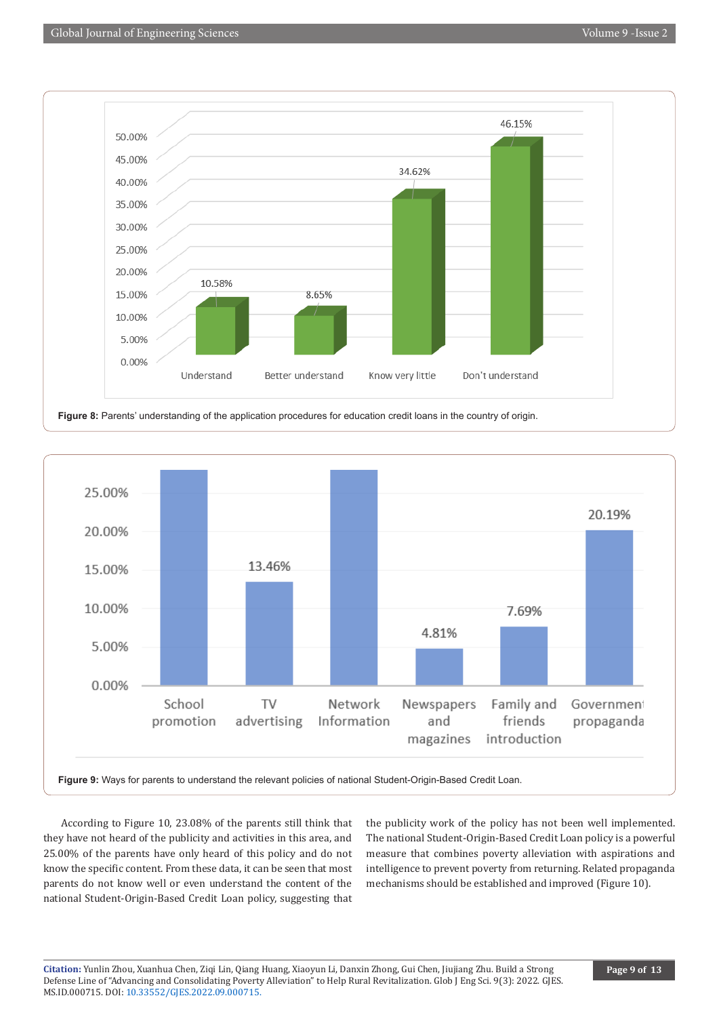



According to Figure 10, 23.08% of the parents still think that they have not heard of the publicity and activities in this area, and 25.00% of the parents have only heard of this policy and do not know the specific content. From these data, it can be seen that most parents do not know well or even understand the content of the national Student-Origin-Based Credit Loan policy, suggesting that

the publicity work of the policy has not been well implemented. The national Student-Origin-Based Credit Loan policy is a powerful measure that combines poverty alleviation with aspirations and intelligence to prevent poverty from returning. Related propaganda mechanisms should be established and improved (Figure 10).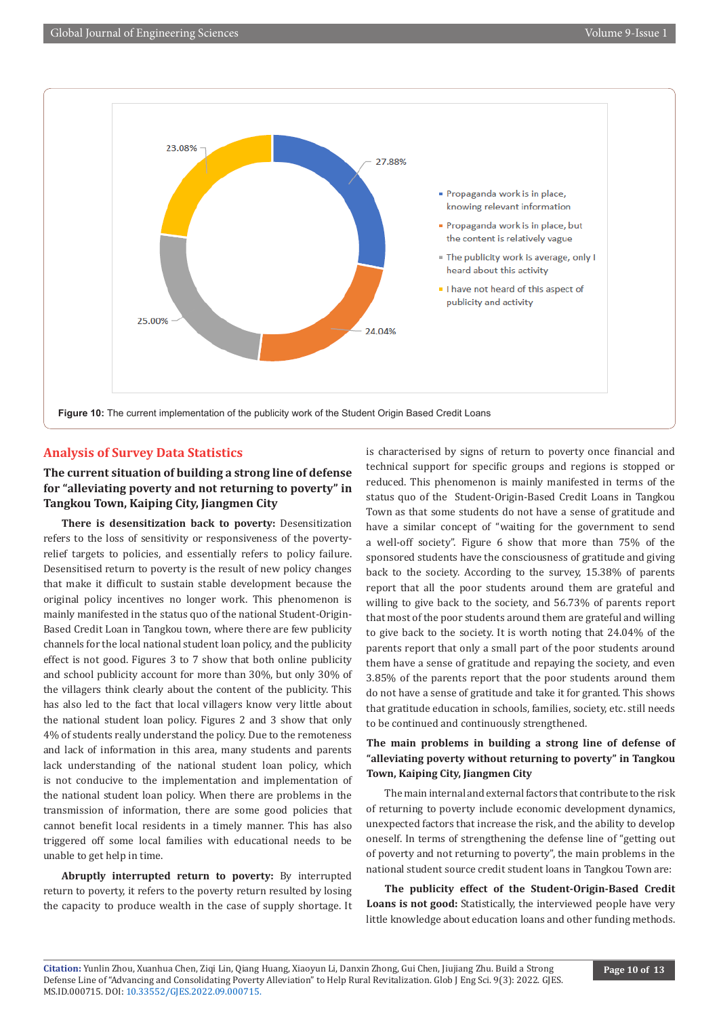

### **Analysis of Survey Data Statistics**

# **The current situation of building a strong line of defense for "alleviating poverty and not returning to poverty" in Tangkou Town, Kaiping City, Jiangmen City**

**There is desensitization back to poverty:** Desensitization refers to the loss of sensitivity or responsiveness of the povertyrelief targets to policies, and essentially refers to policy failure. Desensitised return to poverty is the result of new policy changes that make it difficult to sustain stable development because the original policy incentives no longer work. This phenomenon is mainly manifested in the status quo of the national Student-Origin-Based Credit Loan in Tangkou town, where there are few publicity channels for the local national student loan policy, and the publicity effect is not good. Figures 3 to 7 show that both online publicity and school publicity account for more than 30%, but only 30% of the villagers think clearly about the content of the publicity. This has also led to the fact that local villagers know very little about the national student loan policy. Figures 2 and 3 show that only 4% of students really understand the policy. Due to the remoteness and lack of information in this area, many students and parents lack understanding of the national student loan policy, which is not conducive to the implementation and implementation of the national student loan policy. When there are problems in the transmission of information, there are some good policies that cannot benefit local residents in a timely manner. This has also triggered off some local families with educational needs to be unable to get help in time.

**Abruptly interrupted return to poverty:** By interrupted return to poverty, it refers to the poverty return resulted by losing the capacity to produce wealth in the case of supply shortage. It is characterised by signs of return to poverty once financial and technical support for specific groups and regions is stopped or reduced. This phenomenon is mainly manifested in terms of the status quo of the Student-Origin-Based Credit Loans in Tangkou Town as that some students do not have a sense of gratitude and have a similar concept of "waiting for the government to send a well-off society". Figure 6 show that more than 75% of the sponsored students have the consciousness of gratitude and giving back to the society. According to the survey, 15.38% of parents report that all the poor students around them are grateful and willing to give back to the society, and 56.73% of parents report that most of the poor students around them are grateful and willing to give back to the society. It is worth noting that 24.04% of the parents report that only a small part of the poor students around them have a sense of gratitude and repaying the society, and even 3.85% of the parents report that the poor students around them do not have a sense of gratitude and take it for granted. This shows that gratitude education in schools, families, society, etc. still needs to be continued and continuously strengthened.

## **The main problems in building a strong line of defense of "alleviating poverty without returning to poverty" in Tangkou Town, Kaiping City, Jiangmen City**

The main internal and external factors that contribute to the risk of returning to poverty include economic development dynamics, unexpected factors that increase the risk, and the ability to develop oneself. In terms of strengthening the defense line of "getting out of poverty and not returning to poverty", the main problems in the national student source credit student loans in Tangkou Town are:

**The publicity effect of the Student-Origin-Based Credit Loans is not good:** Statistically, the interviewed people have very little knowledge about education loans and other funding methods.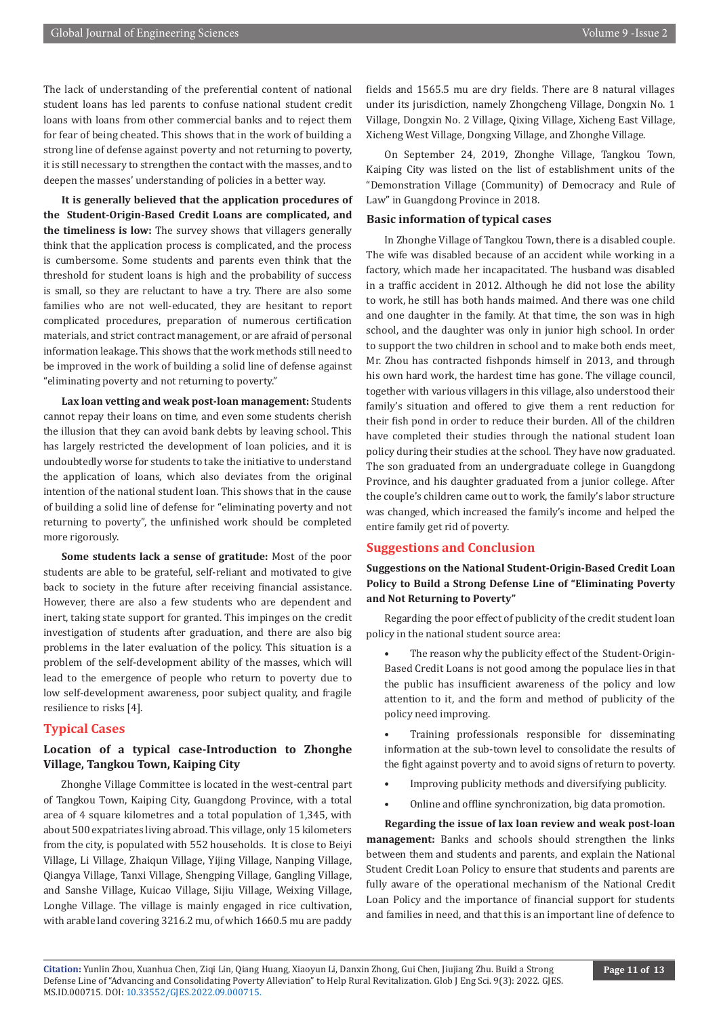The lack of understanding of the preferential content of national student loans has led parents to confuse national student credit loans with loans from other commercial banks and to reject them for fear of being cheated. This shows that in the work of building a strong line of defense against poverty and not returning to poverty, it is still necessary to strengthen the contact with the masses, and to deepen the masses' understanding of policies in a better way.

**It is generally believed that the application procedures of the Student-Origin-Based Credit Loans are complicated, and the timeliness is low:** The survey shows that villagers generally think that the application process is complicated, and the process is cumbersome. Some students and parents even think that the threshold for student loans is high and the probability of success is small, so they are reluctant to have a try. There are also some families who are not well-educated, they are hesitant to report complicated procedures, preparation of numerous certification materials, and strict contract management, or are afraid of personal information leakage. This shows that the work methods still need to be improved in the work of building a solid line of defense against "eliminating poverty and not returning to poverty."

**Lax loan vetting and weak post-loan management:** Students cannot repay their loans on time, and even some students cherish the illusion that they can avoid bank debts by leaving school. This has largely restricted the development of loan policies, and it is undoubtedly worse for students to take the initiative to understand the application of loans, which also deviates from the original intention of the national student loan. This shows that in the cause of building a solid line of defense for "eliminating poverty and not returning to poverty", the unfinished work should be completed more rigorously.

**Some students lack a sense of gratitude:** Most of the poor students are able to be grateful, self-reliant and motivated to give back to society in the future after receiving financial assistance. However, there are also a few students who are dependent and inert, taking state support for granted. This impinges on the credit investigation of students after graduation, and there are also big problems in the later evaluation of the policy. This situation is a problem of the self-development ability of the masses, which will lead to the emergence of people who return to poverty due to low self-development awareness, poor subject quality, and fragile resilience to risks [4].

#### **Typical Cases**

# **Location of a typical case-Introduction to Zhonghe Village, Tangkou Town, Kaiping City**

Zhonghe Village Committee is located in the west-central part of Tangkou Town, Kaiping City, Guangdong Province, with a total area of 4 square kilometres and a total population of 1,345, with about 500 expatriates living abroad. This village, only 15 kilometers from the city, is populated with 552 households. It is close to Beiyi Village, Li Village, Zhaiqun Village, Yijing Village, Nanping Village, Qiangya Village, Tanxi Village, Shengping Village, Gangling Village, and Sanshe Village, Kuicao Village, Sijiu Village, Weixing Village, Longhe Village. The village is mainly engaged in rice cultivation, with arable land covering 3216.2 mu, of which 1660.5 mu are paddy

fields and 1565.5 mu are dry fields. There are 8 natural villages under its jurisdiction, namely Zhongcheng Village, Dongxin No. 1 Village, Dongxin No. 2 Village, Qixing Village, Xicheng East Village, Xicheng West Village, Dongxing Village, and Zhonghe Village.

On September 24, 2019, Zhonghe Village, Tangkou Town, Kaiping City was listed on the list of establishment units of the "Demonstration Village (Community) of Democracy and Rule of Law" in Guangdong Province in 2018.

#### **Basic information of typical cases**

In Zhonghe Village of Tangkou Town, there is a disabled couple. The wife was disabled because of an accident while working in a factory, which made her incapacitated. The husband was disabled in a traffic accident in 2012. Although he did not lose the ability to work, he still has both hands maimed. And there was one child and one daughter in the family. At that time, the son was in high school, and the daughter was only in junior high school. In order to support the two children in school and to make both ends meet, Mr. Zhou has contracted fishponds himself in 2013, and through his own hard work, the hardest time has gone. The village council, together with various villagers in this village, also understood their family's situation and offered to give them a rent reduction for their fish pond in order to reduce their burden. All of the children have completed their studies through the national student loan policy during their studies at the school. They have now graduated. The son graduated from an undergraduate college in Guangdong Province, and his daughter graduated from a junior college. After the couple's children came out to work, the family's labor structure was changed, which increased the family's income and helped the entire family get rid of poverty.

#### **Suggestions and Conclusion**

**Suggestions on the National Student-Origin-Based Credit Loan Policy to Build a Strong Defense Line of "Eliminating Poverty and Not Returning to Poverty"**

Regarding the poor effect of publicity of the credit student loan policy in the national student source area:

The reason why the publicity effect of the Student-Origin-Based Credit Loans is not good among the populace lies in that the public has insufficient awareness of the policy and low attention to it, and the form and method of publicity of the policy need improving.

• Training professionals responsible for disseminating information at the sub-town level to consolidate the results of the fight against poverty and to avoid signs of return to poverty.

- Improving publicity methods and diversifying publicity.
- Online and offline synchronization, big data promotion.

**Regarding the issue of lax loan review and weak post-loan management:** Banks and schools should strengthen the links between them and students and parents, and explain the National Student Credit Loan Policy to ensure that students and parents are fully aware of the operational mechanism of the National Credit Loan Policy and the importance of financial support for students and families in need, and that this is an important line of defence to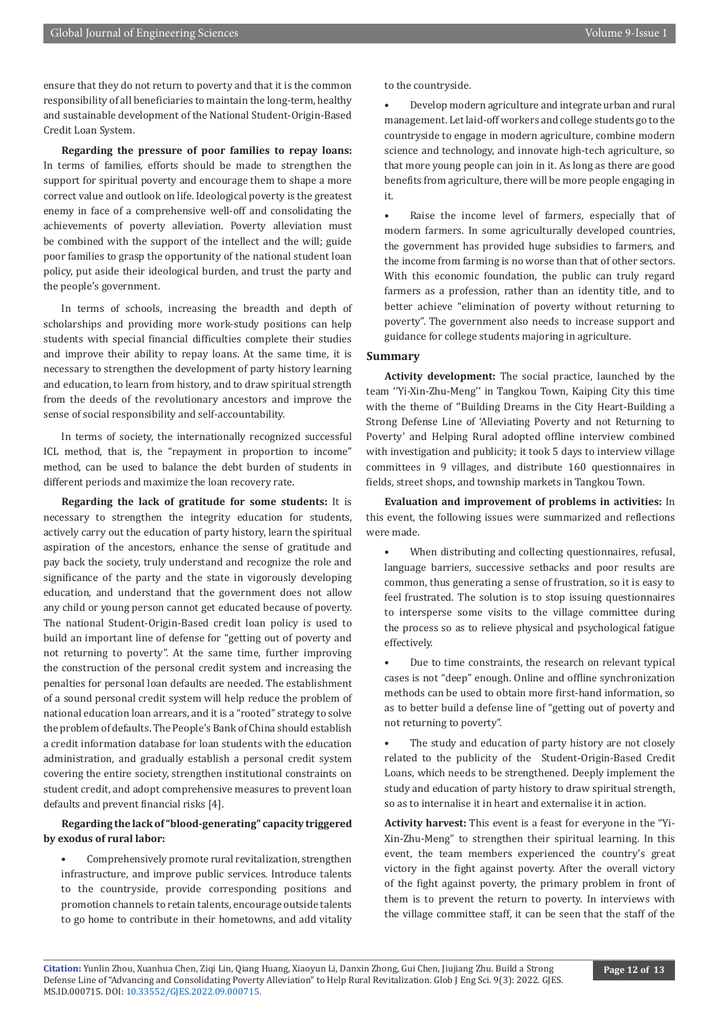ensure that they do not return to poverty and that it is the common responsibility of all beneficiaries to maintain the long-term, healthy and sustainable development of the National Student-Origin-Based Credit Loan System.

**Regarding the pressure of poor families to repay loans:** In terms of families, efforts should be made to strengthen the support for spiritual poverty and encourage them to shape a more correct value and outlook on life. Ideological poverty is the greatest enemy in face of a comprehensive well-off and consolidating the achievements of poverty alleviation. Poverty alleviation must be combined with the support of the intellect and the will; guide poor families to grasp the opportunity of the national student loan policy, put aside their ideological burden, and trust the party and the people's government.

In terms of schools, increasing the breadth and depth of scholarships and providing more work-study positions can help students with special financial difficulties complete their studies and improve their ability to repay loans. At the same time, it is necessary to strengthen the development of party history learning and education, to learn from history, and to draw spiritual strength from the deeds of the revolutionary ancestors and improve the sense of social responsibility and self-accountability.

In terms of society, the internationally recognized successful ICL method, that is, the "repayment in proportion to income" method, can be used to balance the debt burden of students in different periods and maximize the loan recovery rate.

**Regarding the lack of gratitude for some students:** It is necessary to strengthen the integrity education for students, actively carry out the education of party history, learn the spiritual aspiration of the ancestors, enhance the sense of gratitude and pay back the society, truly understand and recognize the role and significance of the party and the state in vigorously developing education, and understand that the government does not allow any child or young person cannot get educated because of poverty. The national Student-Origin-Based credit loan policy is used to build an important line of defense for "getting out of poverty and not returning to poverty". At the same time, further improving the construction of the personal credit system and increasing the penalties for personal loan defaults are needed. The establishment of a sound personal credit system will help reduce the problem of national education loan arrears, and it is a "rooted" strategy to solve the problem of defaults. The People's Bank of China should establish a credit information database for loan students with the education administration, and gradually establish a personal credit system covering the entire society, strengthen institutional constraints on student credit, and adopt comprehensive measures to prevent loan defaults and prevent financial risks [4].

# **Regarding the lack of "blood-generating" capacity triggered by exodus of rural labor:**

• Comprehensively promote rural revitalization, strengthen infrastructure, and improve public services. Introduce talents to the countryside, provide corresponding positions and promotion channels to retain talents, encourage outside talents to go home to contribute in their hometowns, and add vitality to the countryside.

• Develop modern agriculture and integrate urban and rural management. Let laid-off workers and college students go to the countryside to engage in modern agriculture, combine modern science and technology, and innovate high-tech agriculture, so that more young people can join in it. As long as there are good benefits from agriculture, there will be more people engaging in it.

Raise the income level of farmers, especially that of modern farmers. In some agriculturally developed countries, the government has provided huge subsidies to farmers, and the income from farming is no worse than that of other sectors. With this economic foundation, the public can truly regard farmers as a profession, rather than an identity title, and to better achieve "elimination of poverty without returning to poverty". The government also needs to increase support and guidance for college students majoring in agriculture.

#### **Summary**

**Activity development:** The social practice, launched by the team ''Yi-Xin-Zhu-Meng'' in Tangkou Town, Kaiping City this time with the theme of ''Building Dreams in the City Heart-Building a Strong Defense Line of 'Alleviating Poverty and not Returning to Poverty' and Helping Rural adopted offline interview combined with investigation and publicity; it took 5 days to interview village committees in 9 villages, and distribute 160 questionnaires in fields, street shops, and township markets in Tangkou Town.

**Evaluation and improvement of problems in activities:** In this event, the following issues were summarized and reflections were made.

When distributing and collecting questionnaires, refusal, language barriers, successive setbacks and poor results are common, thus generating a sense of frustration, so it is easy to feel frustrated. The solution is to stop issuing questionnaires to intersperse some visits to the village committee during the process so as to relieve physical and psychological fatigue effectively.

• Due to time constraints, the research on relevant typical cases is not "deep" enough. Online and offline synchronization methods can be used to obtain more first-hand information, so as to better build a defense line of "getting out of poverty and not returning to poverty".

The study and education of party history are not closely related to the publicity of the Student-Origin-Based Credit Loans, which needs to be strengthened. Deeply implement the study and education of party history to draw spiritual strength, so as to internalise it in heart and externalise it in action.

**Activity harvest:** This event is a feast for everyone in the "Yi-Xin-Zhu-Meng" to strengthen their spiritual learning. In this event, the team members experienced the country's great victory in the fight against poverty. After the overall victory of the fight against poverty, the primary problem in front of them is to prevent the return to poverty. In interviews with the village committee staff, it can be seen that the staff of the